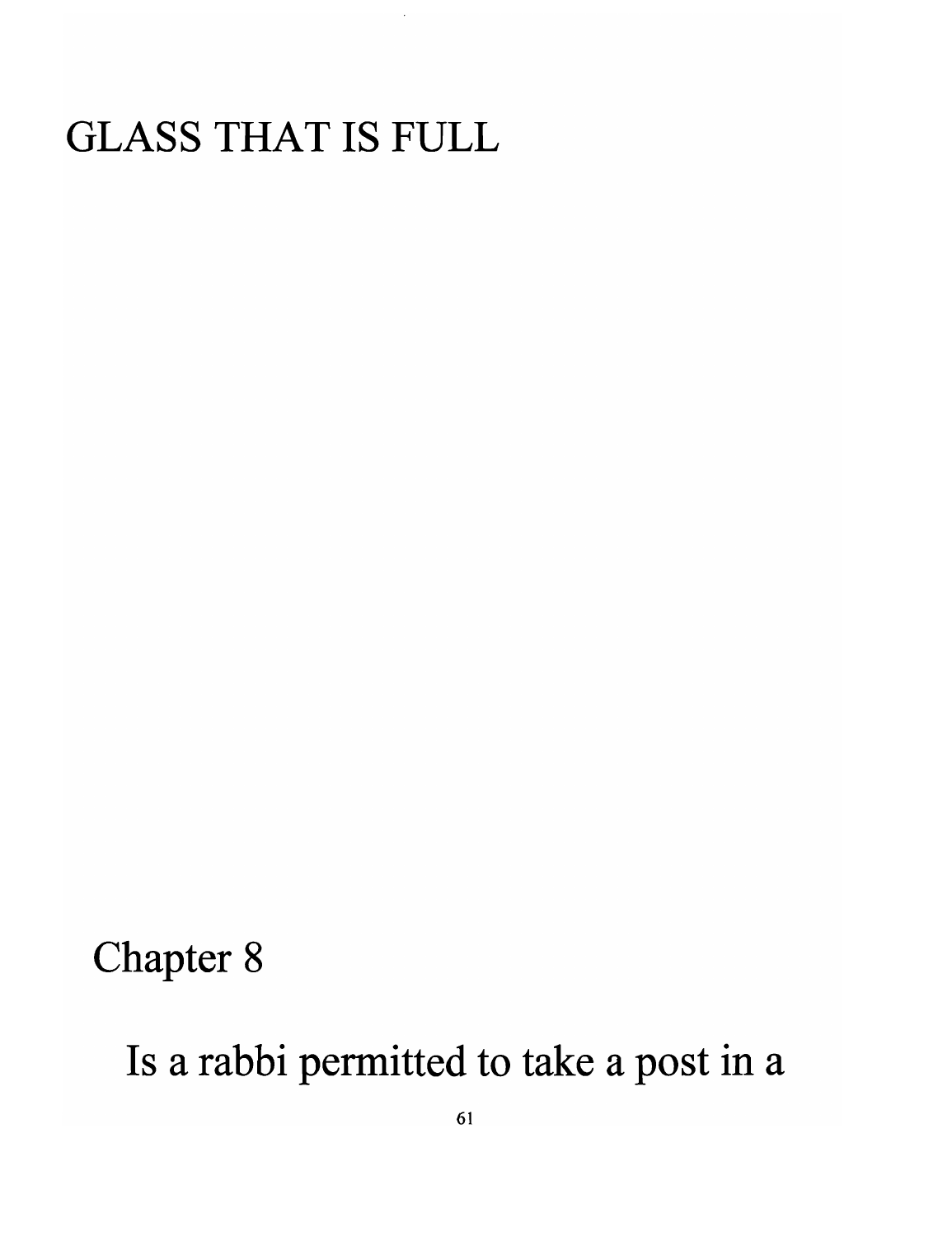# GLASS THAT **IS** FULL

#### Chapter 8

Is a rabbi permitted to take a post in a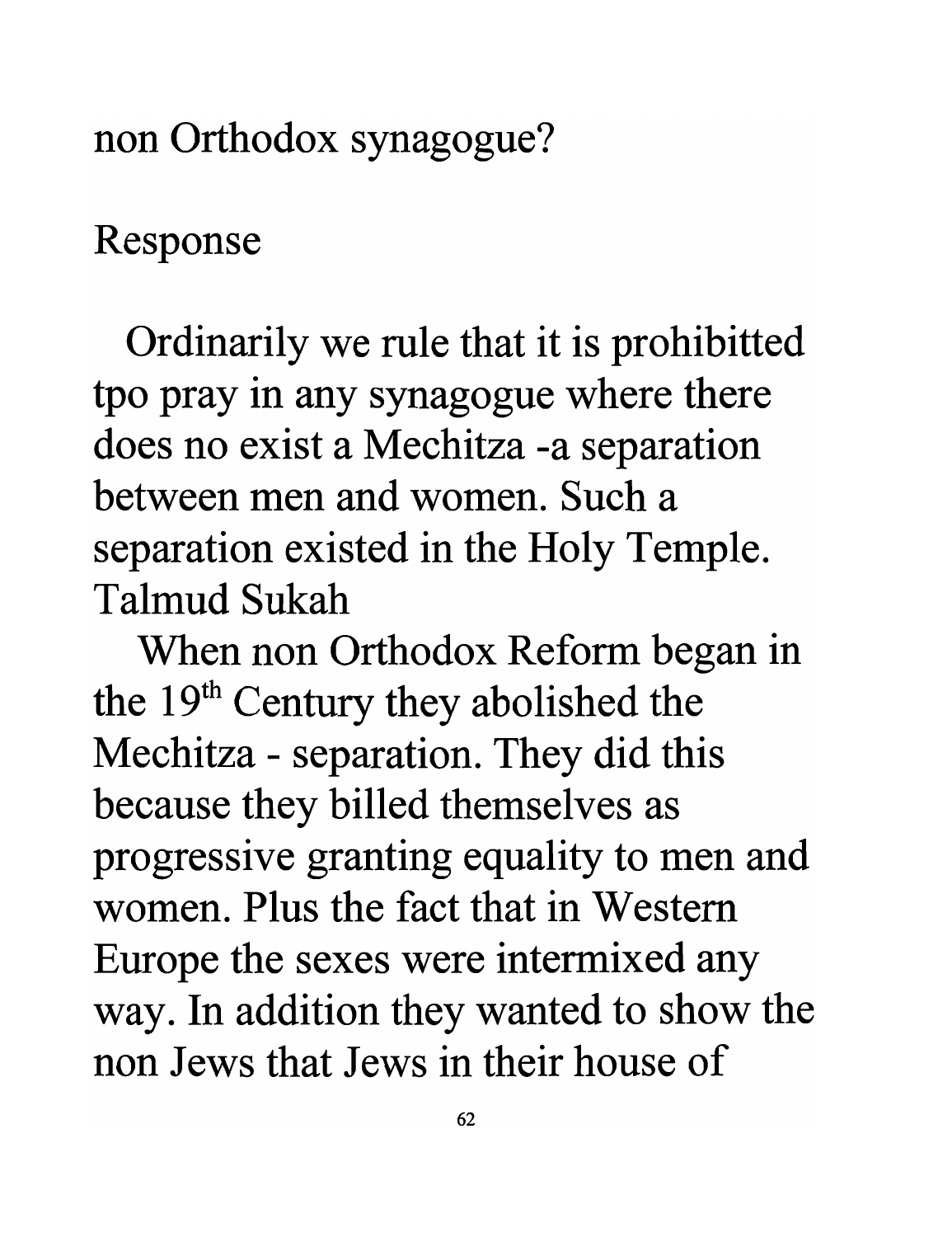non Orthodox synagogue?

Response

Ordinarily we rule that it is prohibitted tpo pray in any synagogue where there does no exist a Mechitza -a separation between men and women. Such a separation existed in the Holy Temple. Talmud Sukah

When non Orthodox Reform began in the 19<sup>th</sup> Century they abolished the Mechitza - separation. They did this because they billed themselves as progressive granting equality to men and women. Plus the fact that in Western Europe the sexes were intermixed any way. In addition they wanted to show the non Jews that Jews in their house of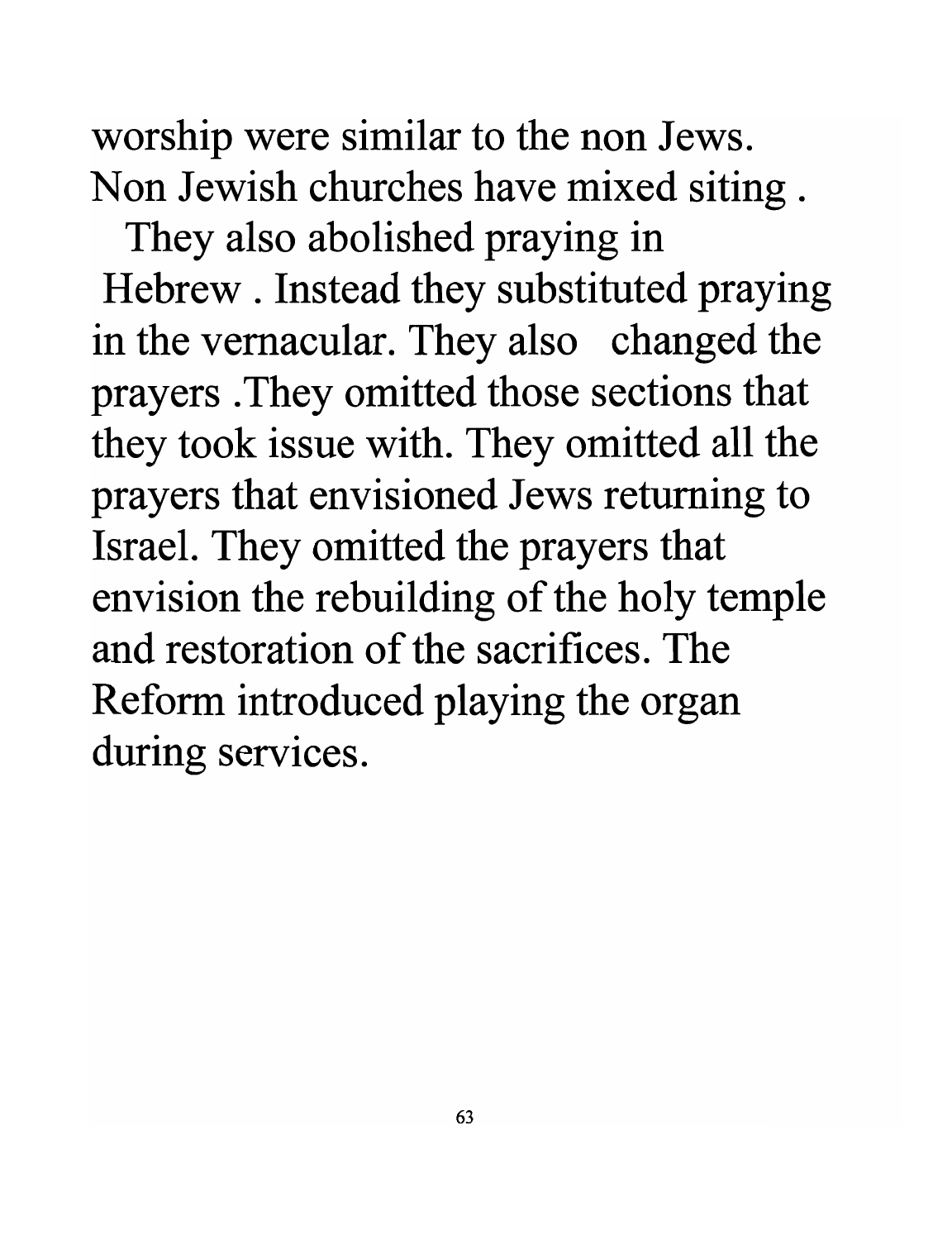worship were similar to the non Jews. Non Jewish churches have mixed siting.

They also abolished praying in Hebrew . Instead they substituted praying in the vernacular. They also changed the prayers . They omitted those sections that they took issue with. They omitted all the prayers that envisioned Jews returning to Israel. They omitted the prayers that envision the rebuilding of the holy temple **and restoration of the sacrifices. The**  Reform introduced playing the organ during services.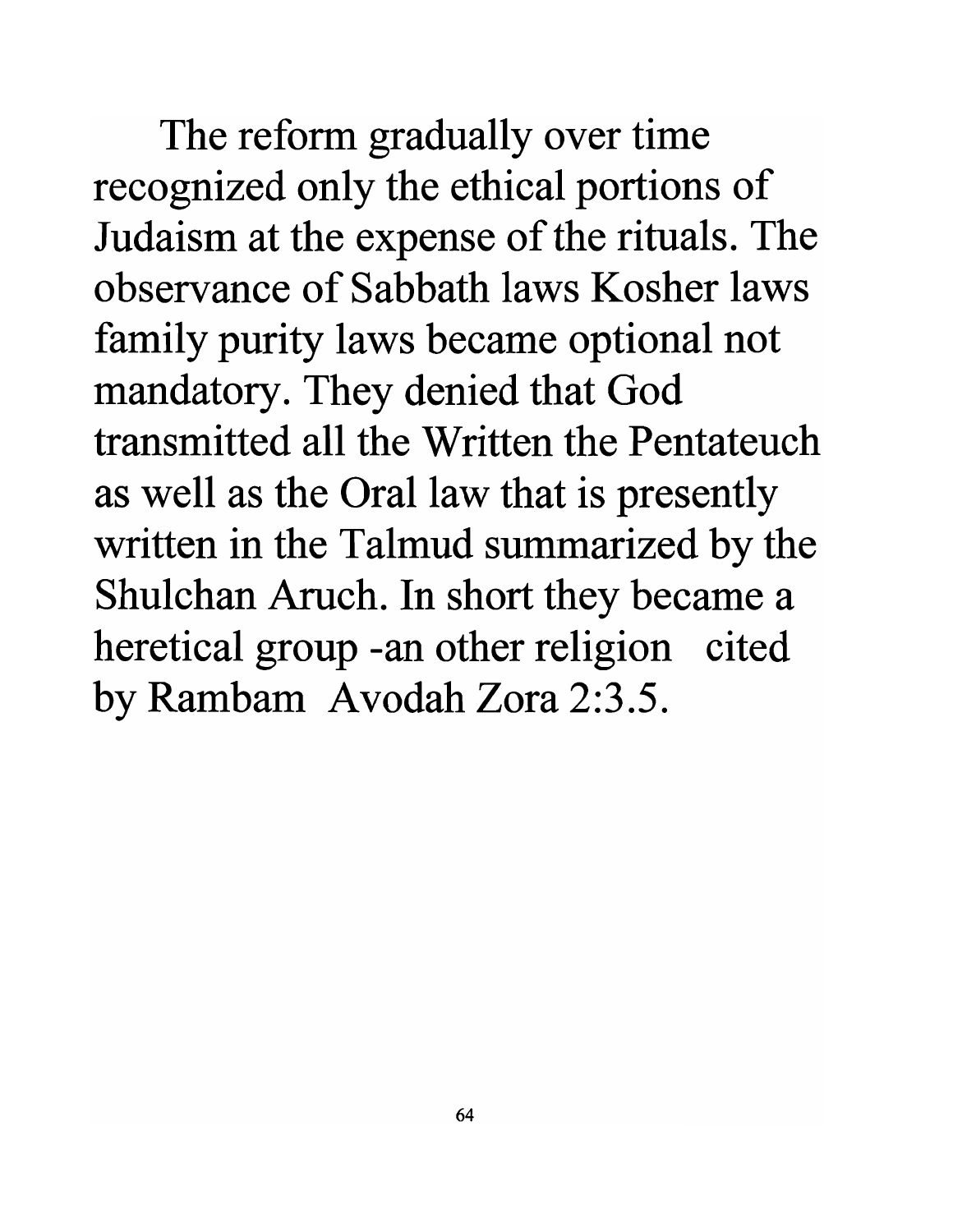The reform gradually over time recognized only the ethical portions of Judaism at the expense of the rituals. The **observance of Sabbath laws Kosher laws**  family purity laws became optional not mandatory. They denied that God **transmitted all the Written the Pentateuch**  as well as the Oral law that is presently written in the Talmud summarized by the Shulchan Aruch. In short they became a heretical group -an other religion cited by Rambam Avodah Zora 2:3.5.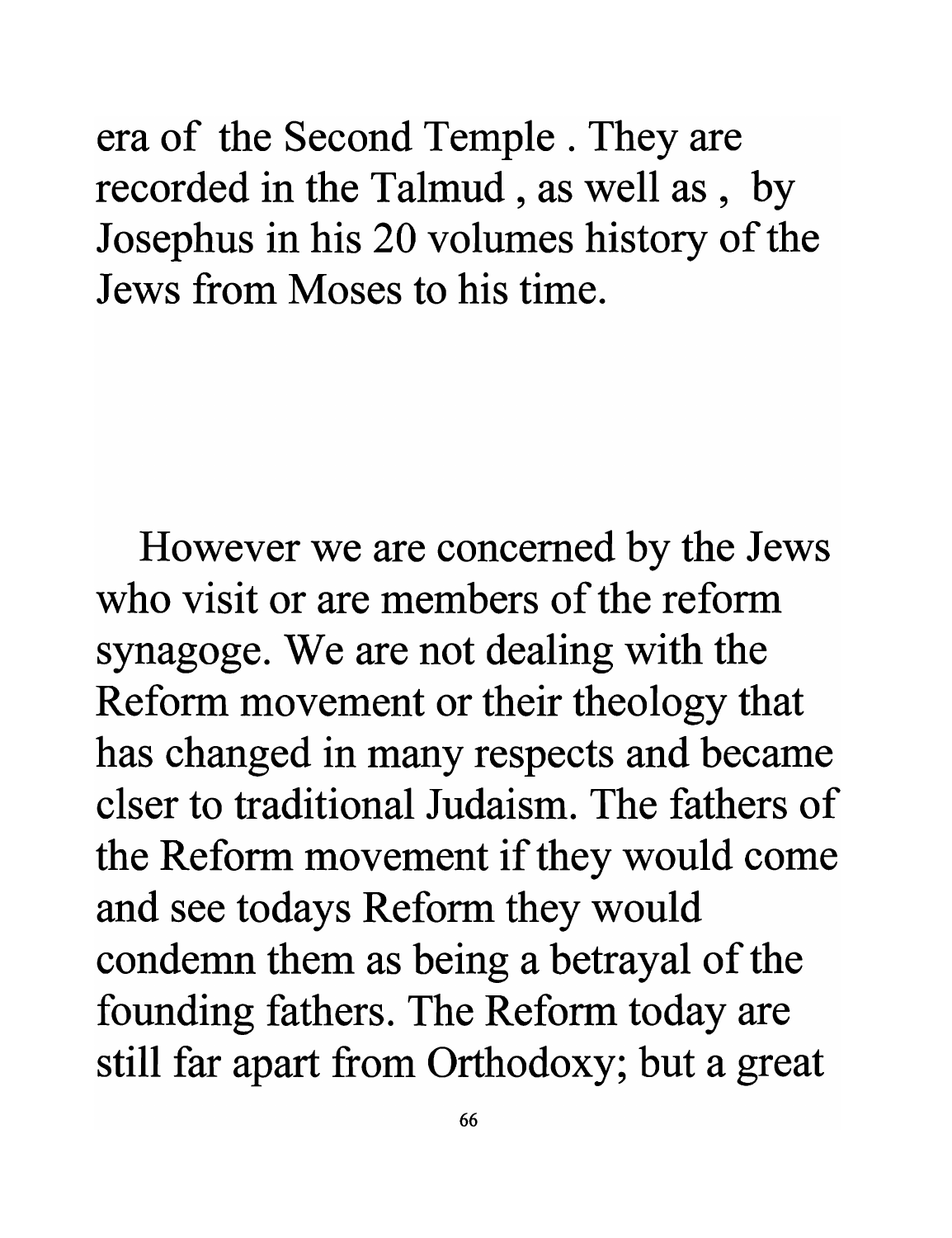era of the Second Temple. They are recorded in the Talmud, as well as, by Josephus in his 20 volumes history of the Jews from Moses to his time.

However we are concerned by the Jews who visit or are members of the reform synagoge. We are not dealing with the Reform movement or their theology that has changed in many respects and became clser to traditional Judaism. The fathers of the Reform movement if they would come and see todays Reform they would condemn them as being a betrayal of the founding fathers. The Reform today are still far apart from Orthodoxy; but a great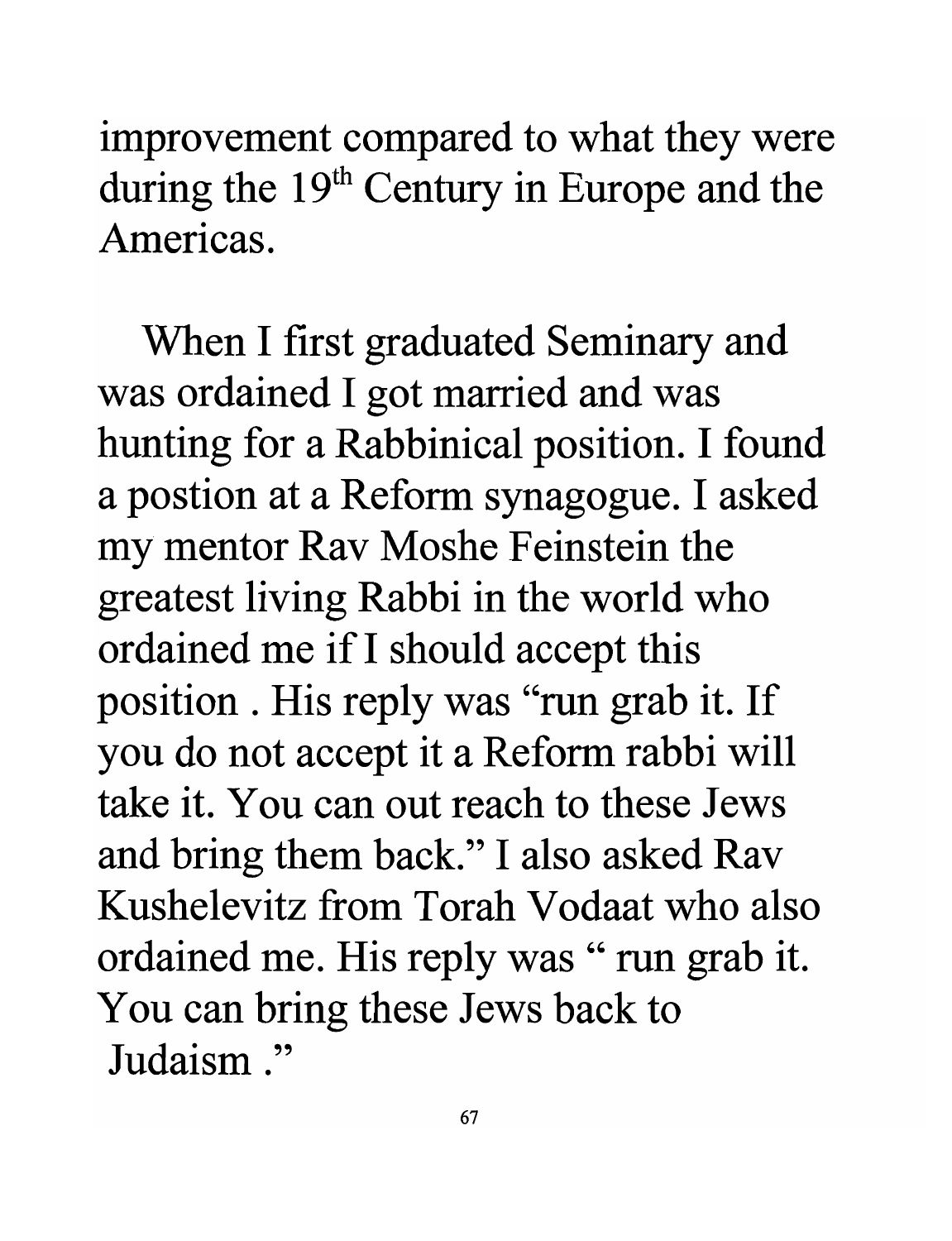improvement compared to what they were during the  $19<sup>th</sup>$  Century in Europe and the **Americas.** 

When I first graduated Seminary and was ordained I got married and was hunting for a Rabbinical position. I found a postion at a Reform synagogue. I asked my mentor Rav Moshe Feinstein the greatest living Rabbi in the world who ordained me if I should accept this position . His reply was "run grab it. If you do not accept it a Reform rabbi will **take it. You can out reach to these** Jews and bring them back." I also asked Rav **Kushelevitz from Torah Vodaat** who **also**  ordained me. His reply was " run grab it. You can bring these Jews back to **Judaism ."**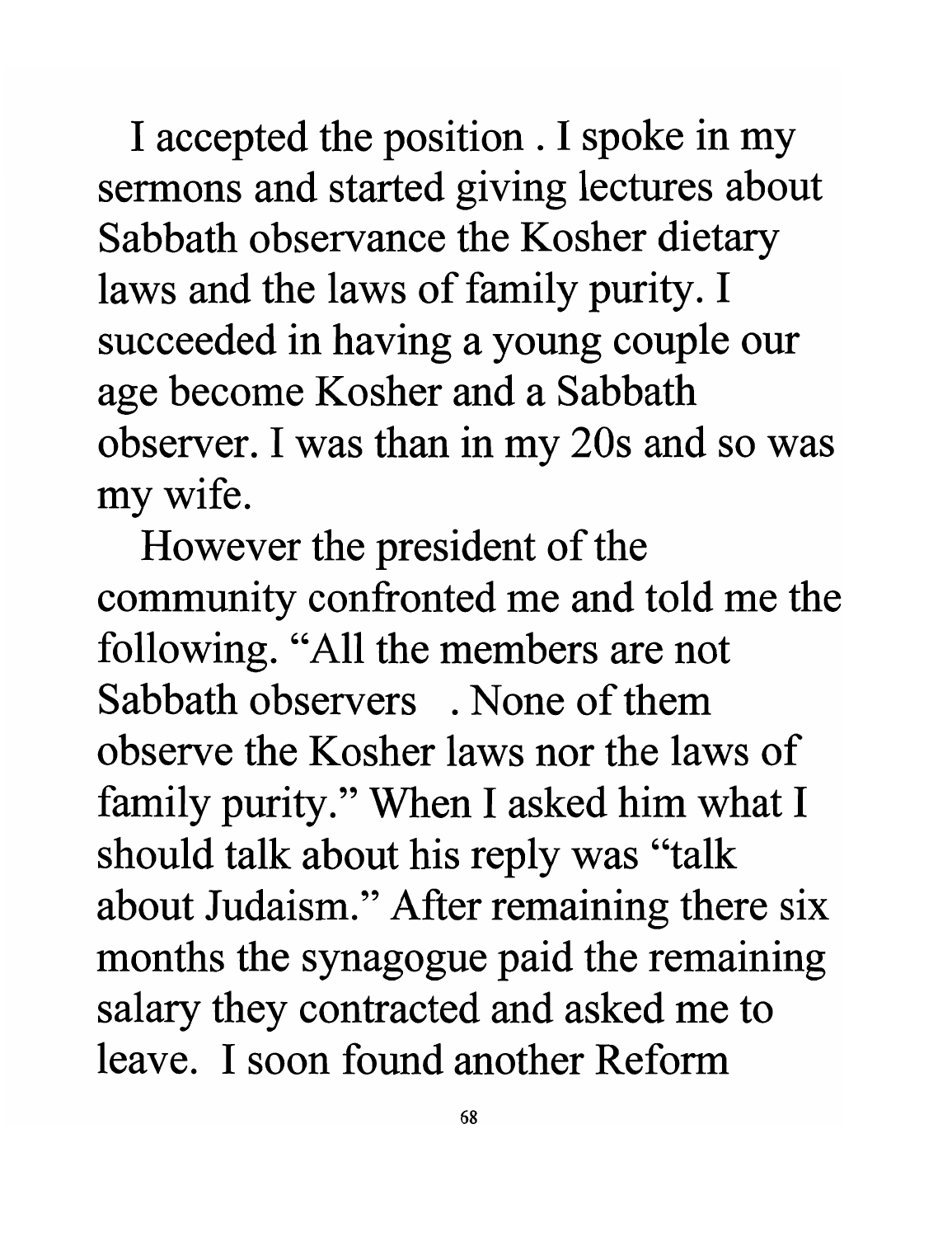I accepted the position . I spoke in my sermons and started giving lectures about Sabbath observance the Kosher dietary laws and the laws of family purity. I succeeded in having a young couple our age become Kosher and a Sabbath observer. I was than in my 20s and so was my wife.

However the president of the community confronted me and told me the following. "All the members are not Sabbath observers . None of them observe the Kosher laws nor the laws of family purity." When I asked him what I should talk about his reply was "talk about Judaism." After remaining there six months the synagogue paid the remaining salary they contracted and asked me to leave. I soon found another Reform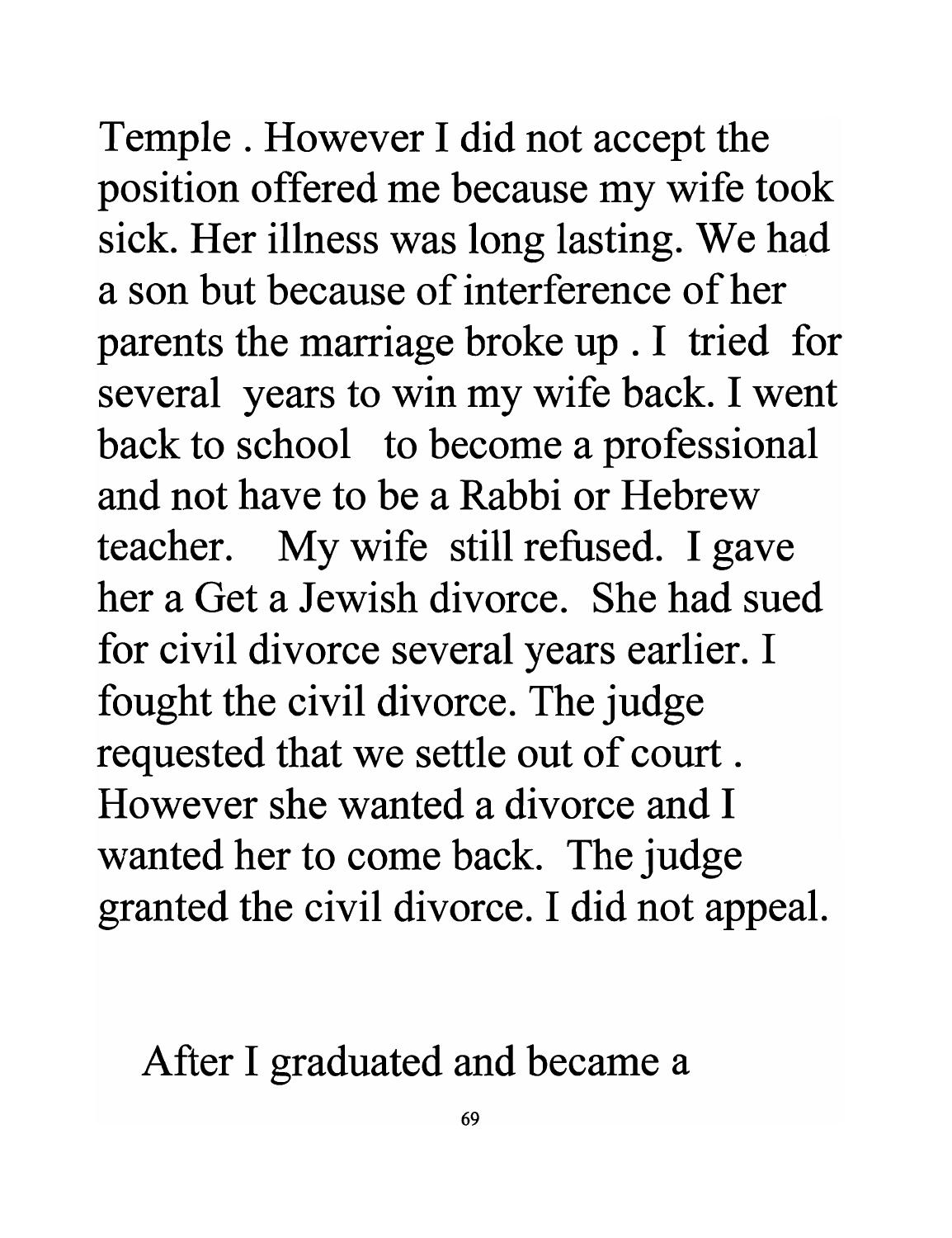Temple. However I did not accept the position offered me because my wife took sick. Her illness was long lasting. We had a son but because of interference of her parents the marriage broke up . I tried for several years to win my wife back. I went back to school to become a professional and not have to be a Rabbi or Hebrew teacher. My wife still refused. I gave her a Get a Jewish divorce. She had sued for civil divorce several years earlier. I fought the civil divorce. The judge requested that we settle out of court . However she wanted a divorce and I wanted her to come back. The judge granted the civil divorce. I did not appeal.

After I graduated and became a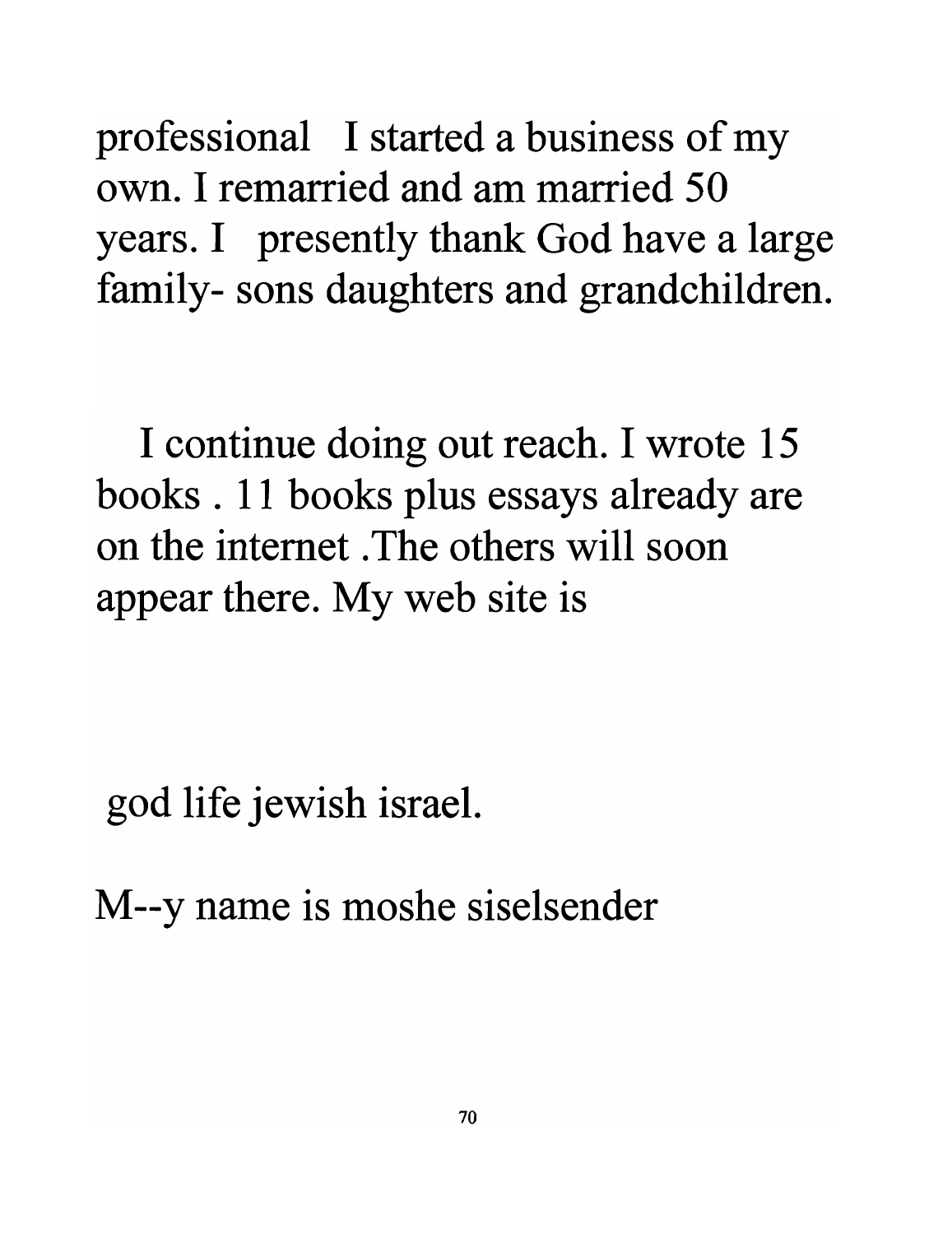professional I started a business of my own. I remarried and am married 50 years. I presently thank God have a large family- sons daughters and grandchildren.

I continue doing out reach. I wrote 15 books . 11 books plus essays already are on the internet . The others will soon appear there. My web site is

god life jewish israel.

M--y name is moshe siselsender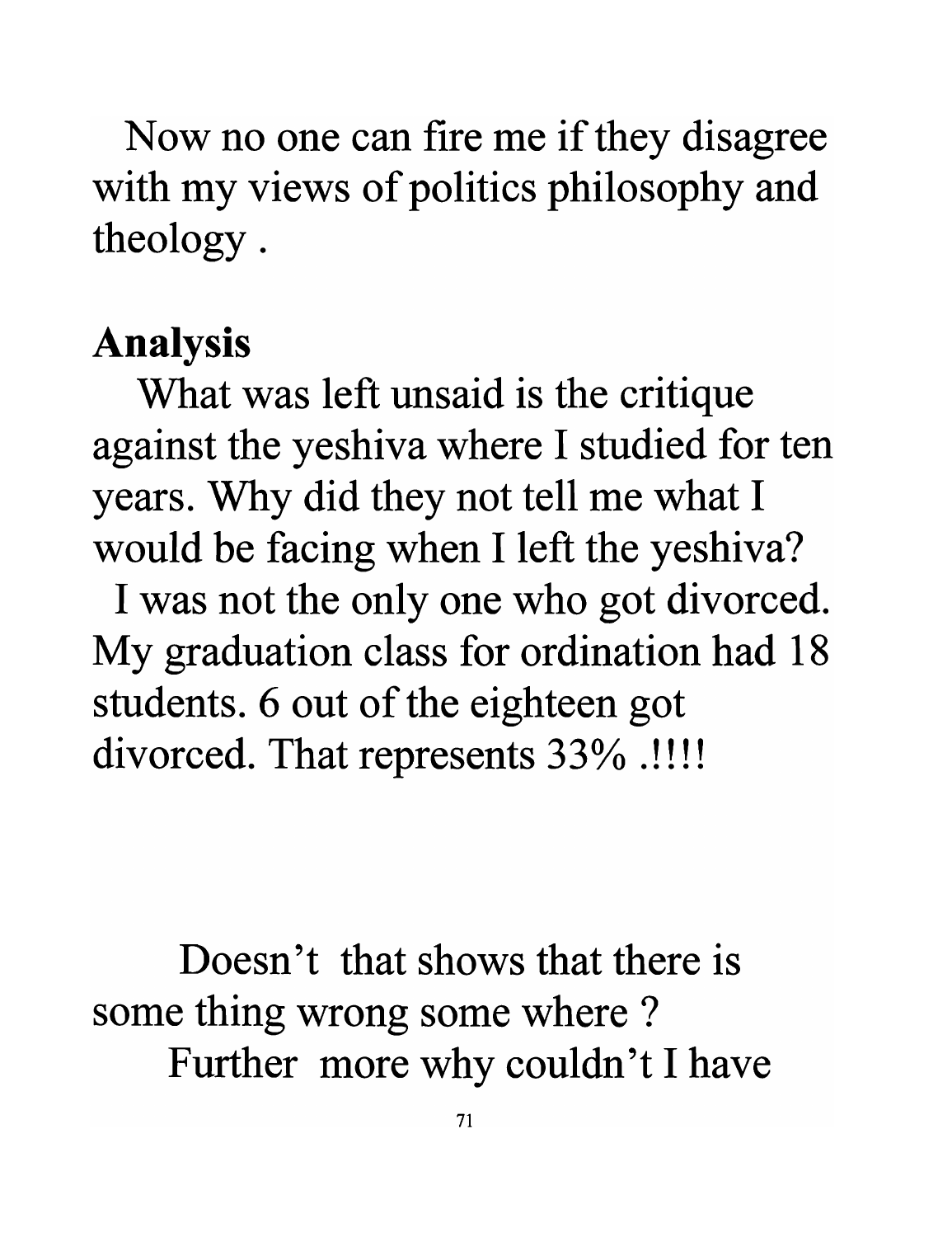Now no one can fire me if they disagree with my views of politics philosophy and theology.

#### **Analysis**

What was left unsaid is the critique against the yeshiva where I studied for ten years. Why did they not tell me what I would be facing when I left the yeshiva?

I was not the only one who got divorced. My graduation class for ordination had 18 students. 6 out of the eighteen got divorced. That represents 33% .!!!!

**Doesn't that shows that there is**  some thing wrong some where ? Further more why couldn't I have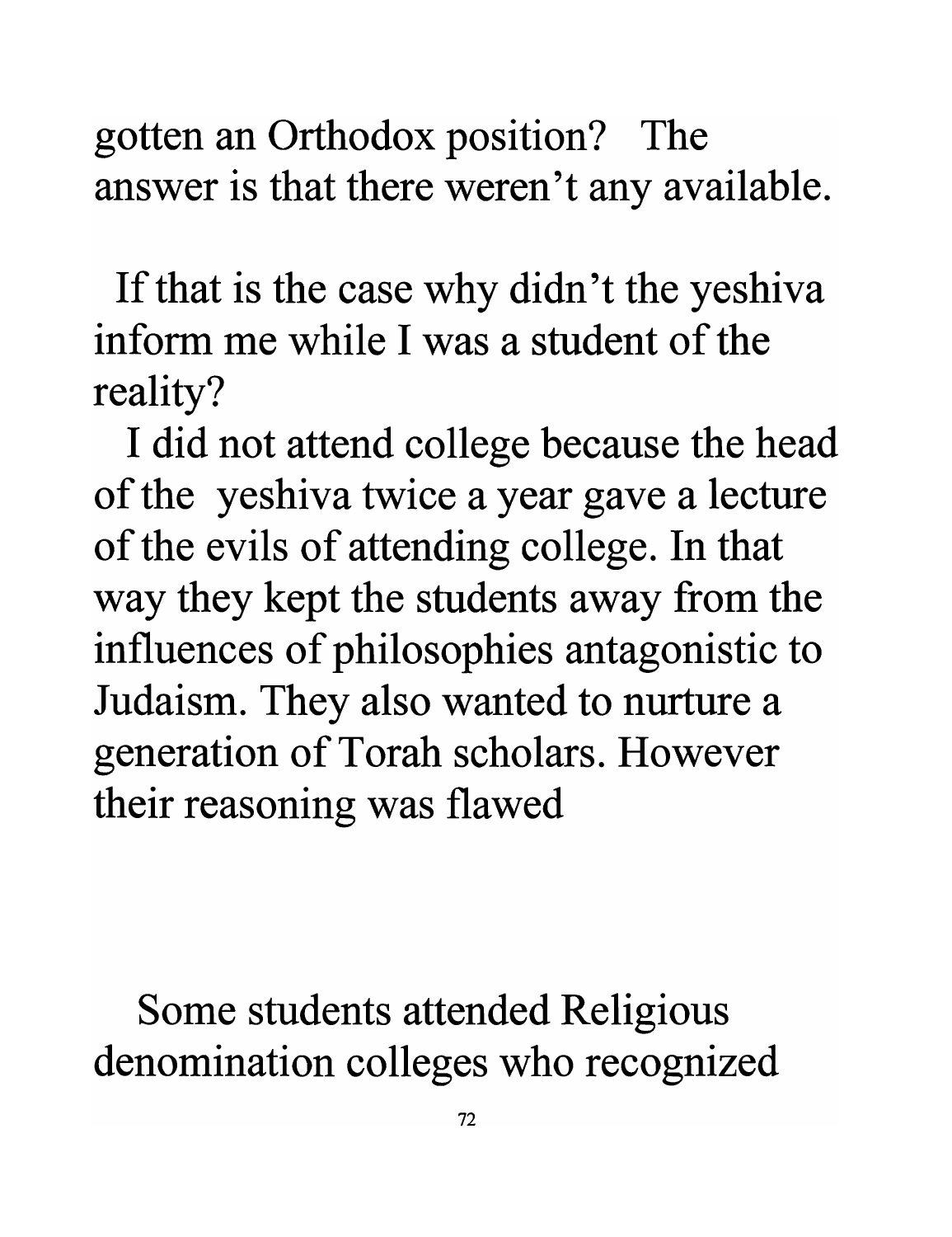gotten an Orthodox position? The answer is that there weren't any available.

If that is the case why didn't the yeshiva **inform me while I was a student of the** reality?

I did not attend college because the head of the yeshiva twice a year gave a lecture of the evils of attending college. In that way they kept the students away from the influences of philosophies antagonistic to Judaism. They also wanted to nurture a generation of Torah scholars. However their reasoning was flawed

Some students attended Religious denomination colleges who recognized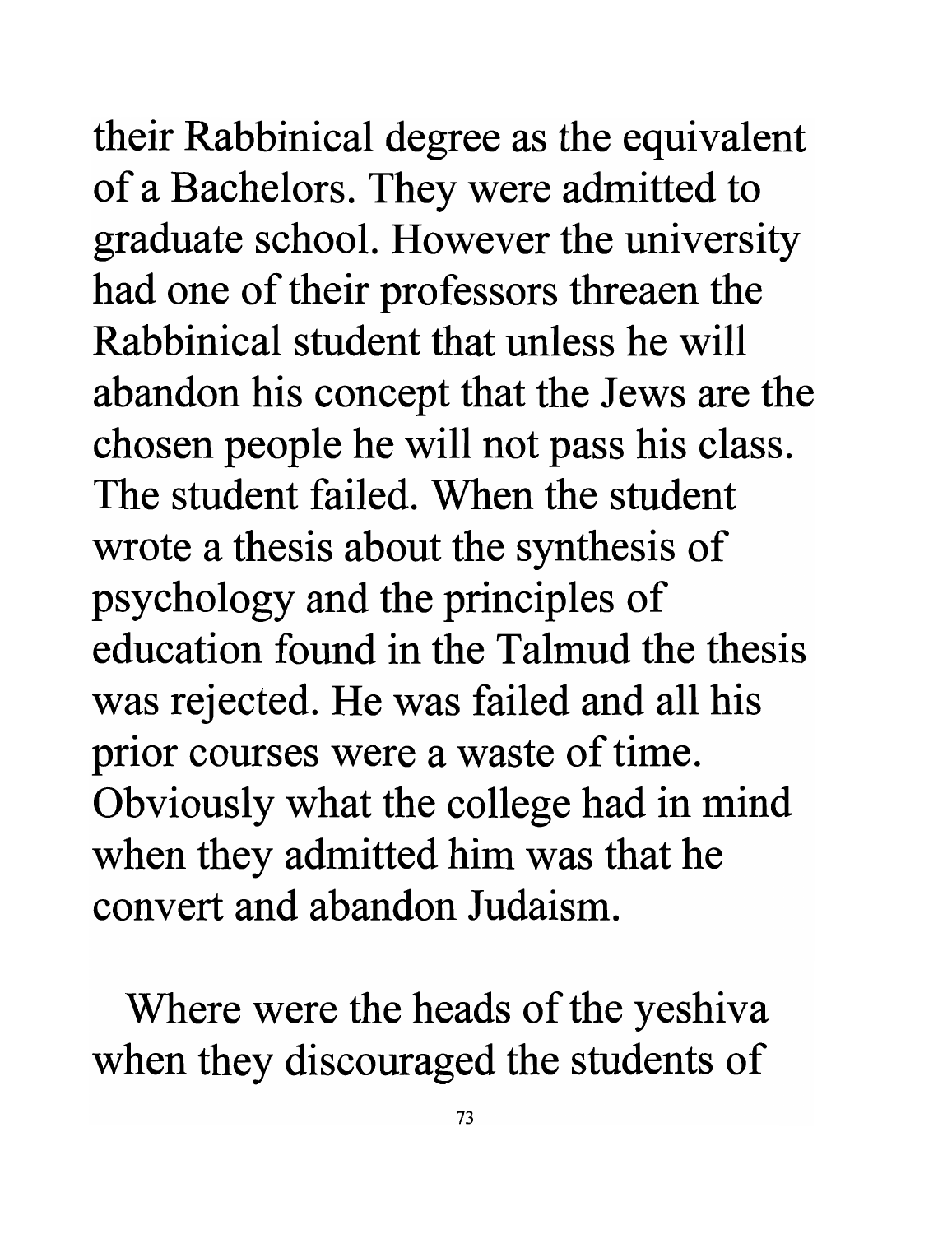their Rabbinical degree as the equivalent of a Bachelors. They were admitted to graduate school. However the university had one of their professors threaen the **Rabbinical student that unless he will**  abandon his concept that the Jews are the chosen people he will not pass his class. **The student failed. When the student**  wrote a thesis about the synthesis of psychology and the principles of **education found in the Talmud the thesis**  was rejected. He was failed and all his prior courses were a waste of time. Obviously what the college had in mind when they admitted him was that he **convert and abandon Judaism.** 

Where were the heads of the yeshiva when they discouraged the students of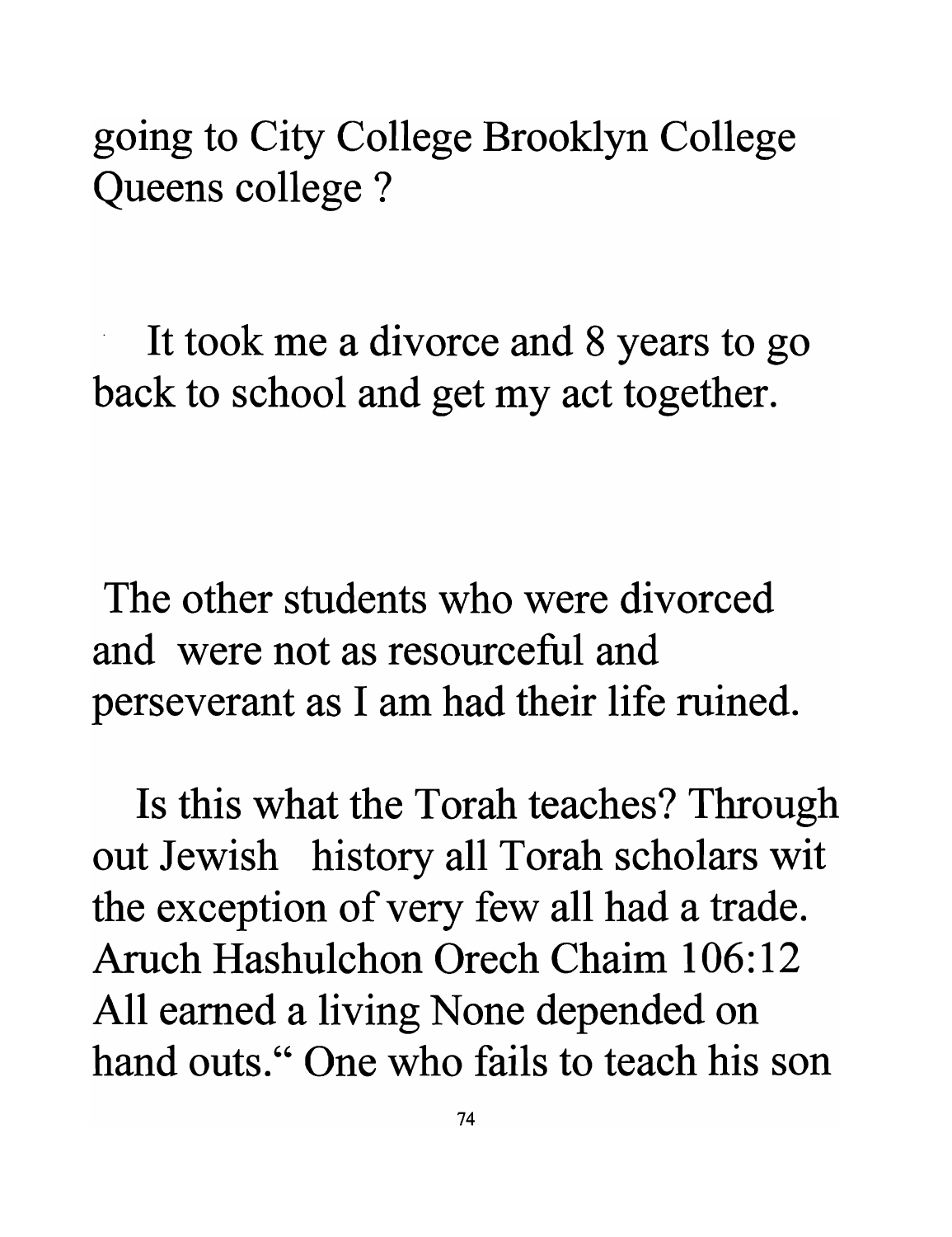## going to City College Brooklyn College Queens college ?

. It took me a divorce and 8 years to go back to school and get my act together.

The other students who were divorced and were not as resourceful and perseverant as I am had their life ruined.

Is this what the Torah teaches? Through out Jewish history all Torah scholars wit the exception of very few all had a trade. Aruch Hashulchon Orech Chaim 106:12 All earned a living None depended on hand outs." One who fails to teach his son